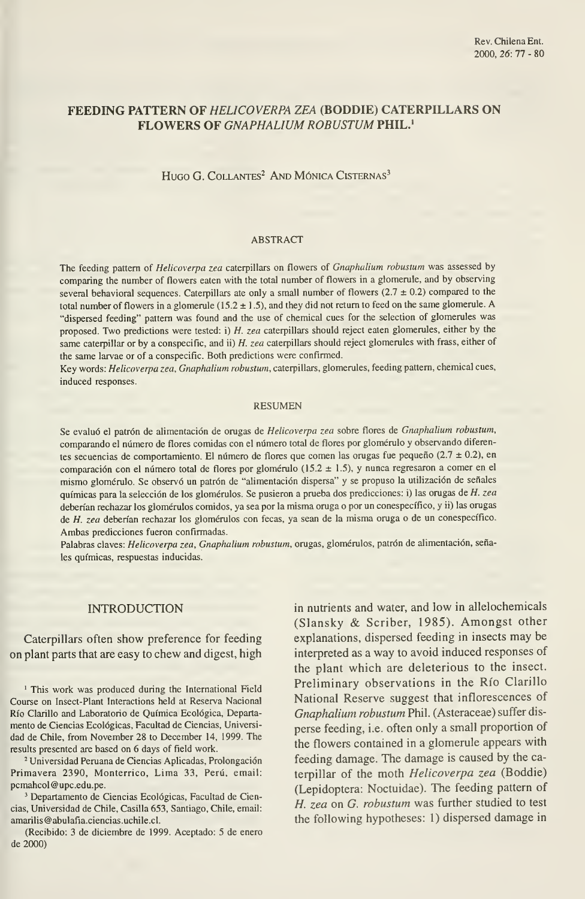# FEEDING PATTERN OF HELICOVERPA ZEA (BODDIE) CATERPILLARS ON FLOWERS OF GNAPHALIUM ROBUSTUM PHIL.<sup>1</sup>

HUGO G. COLLANTES<sup>2</sup> AND MÓNICA CISTERNAS<sup>3</sup>

#### ABSTRACT

The feeding pattern of Helicoverpa zea caterpillars on flowers of Gnaphalium robustum was assessed by comparing the number of flowers eaten with the total number of flowers in a glomerule, and by observing several behavioral sequences. Caterpillars ate only a small number of flowers  $(2.7 \pm 0.2)$  compared to the total number of flowers in a glomerule ( $15.2 \pm 1.5$ ), and they did not return to feed on the same glomerule. A "dispersed feeding" pattem was found and the use of chemical cues for the selection of glomerules was proposed. Two predictions were tested: i) H. zea caterpillars should reject eaten glomerules, either by the same caterpillar or by a conspecific, and ii) H. zea caterpillars should reject glomerules with frass, either of the same larvae or of a conspecific. Both predictions were confirmed.

Key words: Helicoverpa zea, Gnaphalium robustum, caterpillars, glomerules, feeding pattern, chemical cues, induced responses.

### RESUMEN

Se evaluó el patrón de alimentación de orugas de Helicoverpa zea sobre flores de Gnaphalium robustum, comparando el número de flores comidas con el número total de flores por glomérulo y observando diferentes secuencias de comportamiento. El número de flores que comen las orugas fue pequeño ( $2.7 \pm 0.2$ ), en comparación con el número total de flores por glomérulo (15.2 ± 1.5), y nunca regresaron <sup>a</sup> comer en el mismo glomérulo. Se observó un patrón de "alimentación dispersa" y se propuso la utilización de señales químicas para la selección de los glomérulos. Se pusieron a prueba dos predicciones: i) las orugas de H. zea deberían rechazar los glomérulos comidos, ya sea por la misma oruga <sup>o</sup> por un conespecífico, y ii) las omgas de H. zea deberían rechazar los glomémlos con fecas, ya sean de la misma omga o de un conespecífico. Ambas predicciones fueron confirmadas.

Palabras claves: Helicoverpa zea, Gnaphalium robustum, orugas, glomérulos, patrón de alimentación, señales químicas, respuestas inducidas.

### INTRODUCTION

Caterpillars often show preference for feeding on plant parts that are easy to chew and digest, high

' This work was produced during the International Field Course on Insect-Plant Interactions held at Reserva Nacional Río Clarillo and Laboratorio de Química Ecológica, Departa mento de Ciencias Ecológicas, Facultad de Ciencias, Universi dad de Chile, from November 28 to December 14, 1999. The results presented are based on 6 days of field work.

<sup>2</sup> Universidad Peruana de Ciencias Aplicadas, Prolongación Primavera 2390, Monterrico, Lima 33, Perú, email: pcmahcol @upc.edu.pe.

<sup>3</sup> Departamento de Ciencias Ecológicas, Facultad de Ciencias, Universidad de Chile, Casilla 653, Santiago, Chile, email: amarilis@abulafia.ciencias.uchile.cl.

(Recibido: 3 de diciembre de 1999. Aceptado: 5 de enero de 2000)

in nutrients and water, and low in allelochemicals (Slansky & Scriber, 1985). Amongst other explanations, dispersed feeding in insects may be interpreted as a way to avoid induced responses of the plant which are deleterious to the insect. Preliminary observations in the Río Clarillo National Reserve suggest that inflorescences of Gnaphalium robustum Phil. (Asteraceae) suffer dis perse feeding, i.e. often only a small proportion of the flowers contained in a glomerule appears with feeding damage. The damage is caused by the caterpillar of the moth Helicoverpa zea (Boddie) (Lepidoptera: Noctuidae). The feeding pattern of H. zea on G. robustum was further studied to test the following hypotheses: 1) dispersed damage in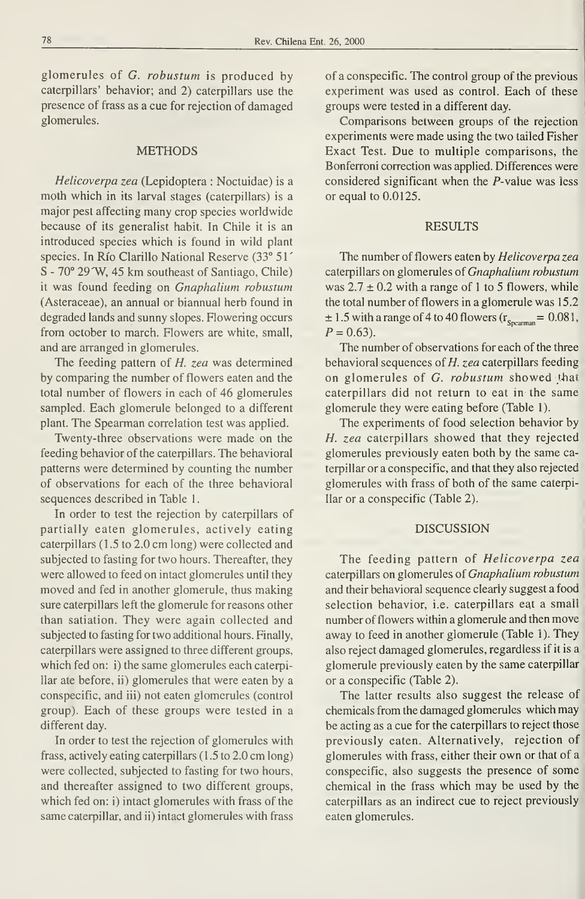glomerules of G. robustum is produced by caterpillars' behavior; and 2) caterpillars use the presence of frass as a cue for rejection of damaged glomerules.

### METHODS

Helicoverpa zea (Lepidoptera : Noctuidae) is a moth which in its larval stages (caterpillars) is a major pest affecting many crop species worldwide because of its generalist habit. In Chile it is an introduced species which is found in wild plant species. In Río Clarillo National Reserve (33° 51' S - 70° 29 W, 45 km southeast of Santiago, Chile) it was found feeding on Gnaphalium robustum (Asteraceae), an annual or biannual herb found in degraded lands and sunny slopes. Flowering occurs from october to march. Flowers are white, small, and are arranged in glomerules.

The feeding pattern of H. zea was determined by comparing the number of flowers eaten and the total number of flowers in each of 46 glomerules sampled. Each glomerule belonged to a different plant. The Spearman correlation test was applied.

Twenty-three observations were made on the feeding behavior of the caterpillars. The behavioral patterns were determined by counting the number of observations for each of the three behavioral sequences described in Table <sup>1</sup>

In order to test the rejection by caterpillars of partially eaten glomerules, actively eating caterpillars  $(1.5 \text{ to } 2.0 \text{ cm} \text{ long})$  were collected and subjected to fasting for two hours. Thereafter, they were allowed to feed on intact glomerules until they moved and fed in another glomerule, thus making sure caterpillars left the glomerule for reasons other than satiation. They were again collected and subjected to fasting for two additional hours. Finally, caterpillars were assigned to three different groups, which fed on: i) the same glomerules each caterpillar ate before, ii) glomerules that were eaten by a conspecific, and iii) not eaten glomerules (control group). Each of these groups were tested in a different day.

In order to test the rejection of glomerules with frass, actively eating caterpillars (1 .5 to 2.0 cm long) were collected, subjected to fasting for two hours, and thereafter assigned to two different groups, which fed on: i) intact glomerules with frass of the same caterpillar, and ii) intact glomerules with frass

of a conspecific. The control group of the previous experiment was used as control. Each of these groups were tested in a different day.

Comparisons between groups of the rejection experiments were made using the two tailed Fisher Exact Test. Due to multiple comparisons, the Bonferroni correction was applied. Differences were considered significant when the P-value was less or equal to 0.0125.

## RESULTS

The number of flowers eaten by Helicoverpa zea caterpillars on glomerules of Gnaphalium robustum was  $2.7 \pm 0.2$  with a range of 1 to 5 flowers, while the total number of flowers in a glomerule was 15.2  $\pm$  1.5 with a range of 4 to 40 flowers ( $r_{\text{Spearman}} = 0.081$ ,  $P = 0.63$ .

The number of observations for each of the three behavioral sequences of  $H$ . zea caterpillars feeding on glomerules of  $G$ . *robustum* showed that caterpillars did not return to eat in the same glomerule they were eating before (Table 1).

The experiments of food selection behavior by H. zea caterpillars showed that they rejected glomerules previously eaten both by the same caterpillar or a conspecific, and that they also rejected glomerules with frass of both of the same caterpillar or a conspecific (Table 2).

### DISCUSSION

The feeding pattern of Helicoverpa zea caterpillars on glomerules of Gnaphalium robustum and their behavioral sequence clearly suggest a food selection behavior, i.e. caterpillars eat a small number of flowers within <sup>a</sup> glomerule and then move away to feed in another glomerule (Table 1). They also reject damaged glomerules, regardless if it is a glomerule previously eaten by the same caterpillar or a conspecific (Table 2).

The latter results also suggest the release of chemicals from the damaged glomerules which may be acting as a cue for the caterpillars to reject those previously eaten. Alternatively, rejection of glomerules with frass, either their own or that of <sup>a</sup> conspecific, also suggests the presence of some chemical in the frass which may be used by the caterpillars as an indirect cue to reject previously eaten glomerules.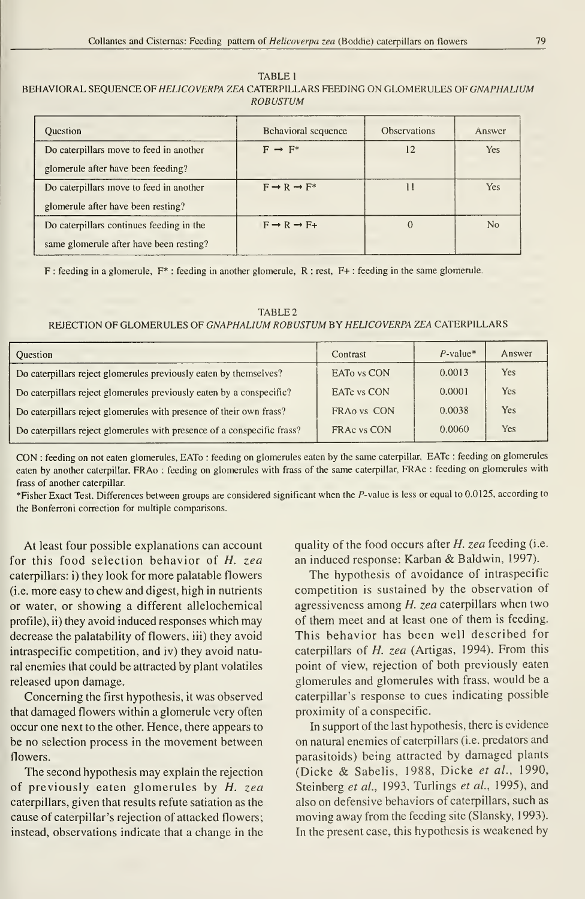### TABLE <sup>1</sup> BEHAVIORAL SEQUENCE OF HELICOVERPA ZEA CATERPILLARS FEEDING ON GLOMERULES OF GNAPHALIUM ROBUSTUM

| <b>Ouestion</b>                          | Behavioral sequence               | <b>Observations</b> | Answer         |
|------------------------------------------|-----------------------------------|---------------------|----------------|
| Do caterpillars move to feed in another  | $F \rightarrow F^*$               | 12                  | Yes.           |
| glomerule after have been feeding?       |                                   |                     |                |
| Do caterpillars move to feed in another  | $F \rightarrow R \rightarrow F^*$ |                     | <b>Yes</b>     |
| glomerule after have been resting?       |                                   |                     |                |
| Do caterpillars continues feeding in the | $F \rightarrow R \rightarrow F+$  |                     | N <sub>0</sub> |
| same glomerule after have been resting?  |                                   |                     |                |

F : feeding in a glomerule, F\* : feeding in another glomerule, R : rest, F+ : feeding in the same glomerule.

TABLE 2 REJECTION OF GLOMERULES OF GNAPHALIUM ROBUSTUM BY HELICOVERPA ZEA CATERPILLARS

| <b>Ouestion</b>                                                         | Contrast           | $P$ -value* | Answer |
|-------------------------------------------------------------------------|--------------------|-------------|--------|
| Do caterpillars reject glomerules previously eaten by themselves?       | EATO vs CON        | 0.0013      | Yes    |
| Do caterpillars reject glomerules previously eaten by a conspecific?    | <b>EATC</b> vs CON | 0.0001      | Yes    |
| Do caterpillars reject glomerules with presence of their own frass?     | FRA0 vs CON        | 0.0038      | Yes    |
| Do caterpillars reject glomerules with presence of a conspecific frass? | FRAC vs CON        | 0.0060      | Yes    |

CON : feeding on not eaten glomerules, EATo : feeding on glomerules eaten by the same caterpillar, EATc : feeding on glomerules eaten by another caterpillar, FRAo : feeding on glomerules with frass of the same caterpillar, FRAc : feeding on glomerules with frass of another caterpillar.

\*Fisher Exact Test. Differences between groups are considered significant when the P-value is less or equal to 0.0125, according to the Bonferroni correction for multiple comparisons.

At least four possible explanations can account for this food selection behavior of H. zea caterpillars: i) they look for more palatable flowers (i.e. more easy to chew and digest, high in nutrients or water, or showing a different allelochemical profile), ii) they avoid induced responses which may decrease the palatability of flowers, iii) they avoid intraspecific competition, and iv) they avoid natural enemies that could be attracted by plant volátiles released upon damage.

Conceming the first hypothesis, it was observed that damaged flowers within a glomerule very often occur one next to the other. Henee, there appears to be no selection process in the movement between flowers.

The second hypothesis may explain the rejection of previously eaten glomerules by H. zea caterpillars, given that results refute satiation as the cause of caterpillar 's rejection of attacked flowers; instead, observations indicate that a change in the

quality of the food occurs after  $H$ . zea feeding (i.e. an induced response: Karban & Baldwin, 1997).

The hypothesis of avoidance of intraspecific competition is sustained by the observation of agressiveness among H. zea caterpillars when two of them meet and at least one of them is feeding. This behavior has been well described for caterpillars of H. zea (Artigas, 1994). From this point of view, rejection of both previously eaten glomerules and glomerules with frass, would be a caterpillar's response to cues indicating possible proximity of a conspecific.

In support of the last hypothesis, there is evidence on natural enemies of caterpillars (i.e. predators and parasitoids) being attracted by damaged plants (Dicke & Sabelis, 1988, Dicke et al., 1990, Steinberg et al., 1993, Turlings et al., 1995), and also on defensive behaviors of caterpillars, such as moving away from the feeding site (Slansky, 1993). In the present case, this hypothesis is weakened by